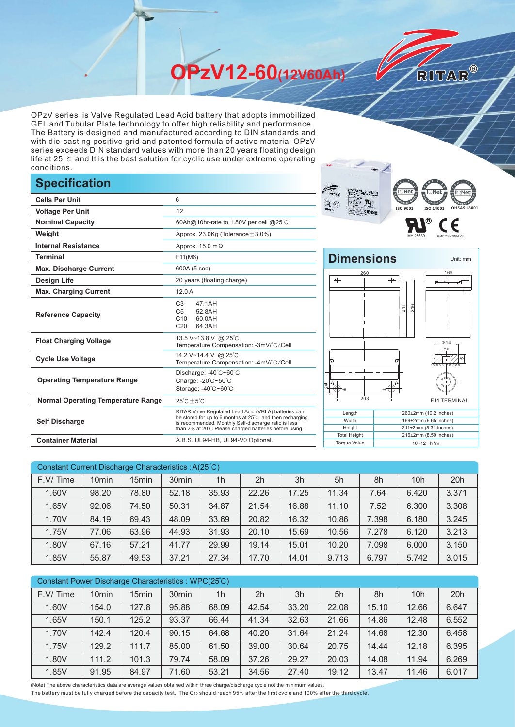**OPzV12-60(12V60Ah)** 

OPzV series is Valve Regulated Lead Acid battery that adopts immobilized GEL and Tubular Plate technology to offer high reliability and performance. The Battery is designed and manufactured according to DIN standards and with die-casting positive grid and patented formula of active material OPzV series exceeds DIN standard values with more than 20 years floating design life at 25 ℃ and It is the best solution for cyclic use under extreme operating conditions.

## **Specification**

|                                           |                                                                                                                                                                                                                                                                 | <b>RITAR</b><br>$\mathbf{B}^{\text{L. Net}}$<br><b>PLEADE</b><br><b>SECH</b> |  |  |  |  |
|-------------------------------------------|-----------------------------------------------------------------------------------------------------------------------------------------------------------------------------------------------------------------------------------------------------------------|------------------------------------------------------------------------------|--|--|--|--|
| <b>Cells Per Unit</b>                     | 6                                                                                                                                                                                                                                                               | X (°                                                                         |  |  |  |  |
| <b>Voltage Per Unit</b>                   | 12                                                                                                                                                                                                                                                              | ISO 9001<br>ISO 140                                                          |  |  |  |  |
| <b>Nominal Capacity</b>                   | 60Ah@10hr-rate to 1.80V per cell @25°C                                                                                                                                                                                                                          | (R)                                                                          |  |  |  |  |
| Weight                                    | Approx. 23.0Kg (Tolerance $\pm$ 3.0%)                                                                                                                                                                                                                           |                                                                              |  |  |  |  |
| <b>Internal Resistance</b>                | Approx. $15.0 \text{ m}\Omega$                                                                                                                                                                                                                                  |                                                                              |  |  |  |  |
| <b>Terminal</b>                           | F11(M6)                                                                                                                                                                                                                                                         | <b>Dimensions</b>                                                            |  |  |  |  |
| <b>Max. Discharge Current</b>             | 600A (5 sec)                                                                                                                                                                                                                                                    | 260                                                                          |  |  |  |  |
| <b>Design Life</b>                        | 20 years (floating charge)                                                                                                                                                                                                                                      |                                                                              |  |  |  |  |
| <b>Max. Charging Current</b>              | 12.0A                                                                                                                                                                                                                                                           |                                                                              |  |  |  |  |
| <b>Reference Capacity</b>                 | 47.1AH<br>C <sub>3</sub><br>C <sub>5</sub><br>52.8AH<br>C10<br>60.0AH<br>C <sub>20</sub><br>64.3AH                                                                                                                                                              | 216<br>211                                                                   |  |  |  |  |
| <b>Float Charging Voltage</b>             | 13.5 V~13.8 V @ 25°C<br>Temperature Compensation: -3mV/°C/Cell                                                                                                                                                                                                  |                                                                              |  |  |  |  |
| <b>Cycle Use Voltage</b>                  | 14.2 V~14.4 V @ 25°C<br>Temperature Compensation: -4mV/°C/Cell                                                                                                                                                                                                  | ₩                                                                            |  |  |  |  |
| <b>Operating Temperature Range</b>        | Discharge: -40°C~60°C<br>Charge: -20°C~50°C<br>Storage: -40°C~60°C                                                                                                                                                                                              | ⊕⊕<br>$\Theta$                                                               |  |  |  |  |
| <b>Normal Operating Temperature Range</b> | $25^{\circ}$ C $\pm 5^{\circ}$ C                                                                                                                                                                                                                                | 203<br>F11                                                                   |  |  |  |  |
| <b>Self Discharge</b>                     | RITAR Valve Regulated Lead Acid (VRLA) batteries can<br>Length<br>be stored for up to 6 months at 25°C and then recharging<br>Width<br>is recommended. Monthly Self-discharge ratio is less<br>Height<br>than 2% at 20°C.Please charged batteries before using. |                                                                              |  |  |  |  |
| <b>Container Material</b>                 | A.B.S. UL94-HB, UL94-V0 Optional.                                                                                                                                                                                                                               | <b>Total Height</b><br>216±2mm (8.50<br><b>Torque Value</b><br>10~12 N*m     |  |  |  |  |



RITAR®



| Constant Current Discharge Characteristics : A(25°C) |                   |       |                   |                |                |       |       |       |                 |       |
|------------------------------------------------------|-------------------|-------|-------------------|----------------|----------------|-------|-------|-------|-----------------|-------|
| F.V/Time                                             | 10 <sub>min</sub> | 15min | 30 <sub>min</sub> | 1 <sub>h</sub> | 2 <sub>h</sub> | 3h    | 5h    | 8h    | 10 <sub>h</sub> | 20h   |
| 1.60V                                                | 98.20             | 78.80 | 52.18             | 35.93          | 22.26          | 17.25 | 11.34 | 7.64  | 6.420           | 3.371 |
| 1.65V                                                | 92.06             | 74.50 | 50.31             | 34.87          | 21.54          | 16.88 | 11.10 | 7.52  | 6.300           | 3.308 |
| 1.70V                                                | 84.19             | 69.43 | 48.09             | 33.69          | 20.82          | 16.32 | 10.86 | 7.398 | 6.180           | 3.245 |
| 1.75V                                                | 77.06             | 63.96 | 44.93             | 31.93          | 20.10          | 15.69 | 10.56 | 7.278 | 6.120           | 3.213 |
| 1.80V                                                | 67.16             | 57.21 | 41.77             | 29.99          | 19.14          | 15.01 | 10.20 | 7.098 | 6.000           | 3.150 |
| 1.85V                                                | 55.87             | 49.53 | 37.21             | 27.34          | 17.70          | 14.01 | 9.713 | 6.797 | 5.742           | 3.015 |

| Constant Power Discharge Characteristics: WPC(25°C) |                   |                   |                   |                |                |       |       |       |       |       |
|-----------------------------------------------------|-------------------|-------------------|-------------------|----------------|----------------|-------|-------|-------|-------|-------|
| F.V/Time                                            | 10 <sub>min</sub> | 15 <sub>min</sub> | 30 <sub>min</sub> | 1 <sub>h</sub> | 2 <sub>h</sub> | 3h    | 5h    | 8h    | 10h   | 20h   |
| 1.60V                                               | 154.0             | 127.8             | 95.88             | 68.09          | 42.54          | 33.20 | 22.08 | 15.10 | 12.66 | 6.647 |
| 1.65V                                               | 150.1             | 125.2             | 93.37             | 66.44          | 41.34          | 32.63 | 21.66 | 14.86 | 12.48 | 6.552 |
| 1.70V                                               | 142.4             | 120.4             | 90.15             | 64.68          | 40.20          | 31.64 | 21.24 | 14.68 | 12.30 | 6.458 |
| 1.75V                                               | 129.2             | 111.7             | 85.00             | 61.50          | 39.00          | 30.64 | 20.75 | 14.44 | 12.18 | 6.395 |
| 1.80V                                               | 111.2             | 101.3             | 79.74             | 58.09          | 37.26          | 29.27 | 20.03 | 14.08 | 11.94 | 6.269 |
| 1.85V                                               | 91.95             | 84.97             | 71.60             | 53.21          | 34.56          | 27.40 | 19.12 | 13.47 | 11.46 | 6.017 |

(Note) The above characteristics data are average values obtained within three charge/discharge cycle not the minimum values.

The battery must be fully charged before the capacity test. The C10 should reach 95% after the first cycle and 100% after the third cycle.